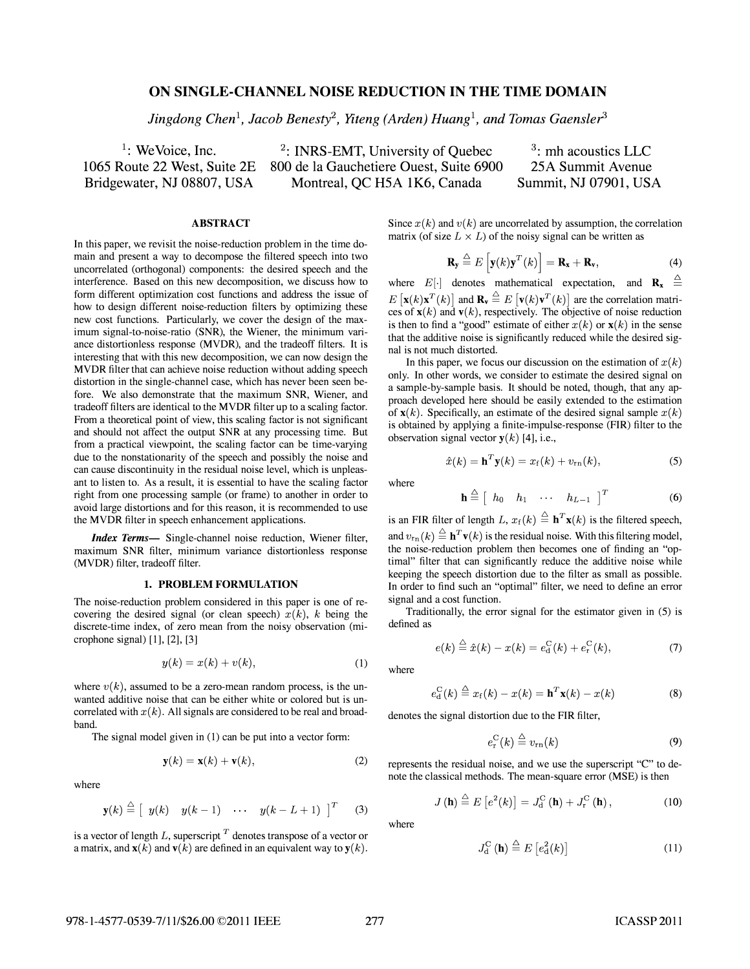# ON SINGLE-CHANNEL NOISE REDUCTION IN THE TIME DOMAIN

Jingdong Chen<sup>1</sup>, Jacob Benesty<sup>2</sup>, Yiteng (Arden) Huang<sup>1</sup>, and Tomas Gaensler<sup>3</sup>

 $1:$  We Voice, Inc. 1065 Route 22 West, Suite 2E Bridgewater, NJ 08807, USA

2: INRS-EMT, University of Quebec 800 de la Gauchetiere Ouest, Suite 6900 Montreal, QC H5A 1K6, Canada

<sup>3</sup>: mh acoustics LLC 25A Summit Avenue Summit, NJ 07901, USA

## ABSTRACT

In this paper, we revisit the noise-reduction problem in the time domain and present a way to decompose the filtered speech into two uncorrelated (orthogonal) components: the desired speech and the interference. Based on this new decomposition, we discuss how to form different optimization cost functions and address the issue of how to design different noise-reduction filters by optimizing these new cost functions. Particularly, we cover the design of the maximum signal-to-noise-ratio (SNR), the Wiener, the minimum variance distortionless response (MVDR), and the tradeoff filters. It is interesting that with this new decomposition, we can now design the MVDR filter that can achieve noise reduction without adding speech distortion in the single-channel case, which has never been seen before. We also demonstrate that the maximum SNR, Wiener, and tradeoff filters are identical to the MVDR filter up to a scaling factor. From a theoretical point of view, this scaling factor is not significant and should not affect the output SNR at any processing time. But from a practical viewpoint, the scaling factor can be time-varying due to the nonstationarity of the speech and possibly the noise and can cause discontinuity in the residual noise level, which is unpleasant to listen to. As a result, it is essential to have the scaling factor right from one processing sample (or frame) to another in order to avoid large distortions and for this reason, it is recommended to use the MVDR filter in speech enhancement applications.

Index Terms- Single-channel noise reduction, Wiener filter, maximum SNR filter, minimum variance distortionless response (MVDR) filter, tradeoff filter.

### 1. PROBLEM FORMULATION

The noise-reduction problem considered in this paper is one of recovering the desired signal (or clean speech)  $x(k)$ , k being the discrete-time index, of zero mean from the noisy observation (microphone signal) [1], [2], [3]

$$
y(k) = x(k) + v(k),\tag{1}
$$

where  $v(k)$ , assumed to be a zero-mean random process, is the unwanted additive noise that can be either white or colored but is uncorrelated with  $x(k)$ . All signals are considered to be real and broadband.

The signal model given in (1) can be put into a vector form:

$$
\mathbf{y}(k) = \mathbf{x}(k) + \mathbf{v}(k),\tag{2}
$$

where

$$
\mathbf{y}(k) \stackrel{\triangle}{=} \left[ \begin{array}{ccc} y(k) & y(k-1) & \cdots & y(k-L+1) \end{array} \right]^T \qquad (3)
$$

is a vector of length  $L$ , superscript  $T$  denotes transpose of a vector or a matrix, and  $\mathbf{x}(k)$  and  $\mathbf{v}(k)$  are defined in an equivalent way to  $\mathbf{y}(k)$ . Since  $x(k)$  and  $v(k)$  are uncorrelated by assumption, the correlation matrix (of size  $L \times L$ ) of the noisy signal can be written as

$$
\mathbf{R}_{\mathbf{y}} \stackrel{\Delta}{=} E\left[\mathbf{y}(k)\mathbf{y}^T(k)\right] = \mathbf{R}_{\mathbf{x}} + \mathbf{R}_{\mathbf{v}},\tag{4}
$$

where  $E[\cdot]$  denotes mathematical expectation, and  $\mathbf{R_x} \triangleq$  $E[\mathbf{x}(k)\mathbf{x}^T(k)]$  and  $\mathbf{R}_{\mathbf{v}} \stackrel{\triangle}{=} E[\mathbf{v}(k)\mathbf{v}^T(k)]$  are the correlation matrices of  $\mathbf{x}(k)$  and  $\mathbf{v}(k)$ , respectively. The objective of noise reduction is then to find a "good" estimate of either  $x(k)$  or  $x(k)$  in the sense that the additive noise is significantly reduced while the desired signal is not much distorted.

In this paper, we focus our discussion on the estimation of  $x(k)$ only. In other words, we consider to estimate the desired signal on a sample-by-sample basis. It should be noted, though, that any approach developed here should be easily extended to the estimation of  $\mathbf{x}(k)$ . Specifically, an estimate of the desired signal sample  $x(k)$ is obtained by applying a finite-impulse-response (FIR) filter to the observation signal vector  $y(k)$  [4], i.e.,

$$
\hat{x}(k) = \mathbf{h}^T \mathbf{y}(k) = x_f(k) + v_{\rm rn}(k), \tag{5}
$$

where

$$
\mathbf{h} \stackrel{\Delta}{=} \left[ h_0 \quad h_1 \quad \cdots \quad h_{L-1} \right]^T \tag{6}
$$

is an FIR filter of length L,  $x_f(k) \triangleq \mathbf{h}^T \mathbf{x}(k)$  is the filtered speech, and  $v_{\text{rn}}(k) \stackrel{\triangle}{=} \mathbf{h}^T \mathbf{v}(k)$  is the residual noise. With this filtering model, the noise-reduction problem then becomes one of finding an "optimal" filter that can significantly reduce the additive noise while keeping the speech distortion due to the filter as small as possible. In order to find such an "optimal" filter, we need to define an error signal and a cost function.

Traditionally, the error signal for the estimator given in (5) is defined as

$$
e(k) \stackrel{\triangle}{=} \hat{x}(k) - x(k) = e_{d}^{C}(k) + e_{r}^{C}(k),
$$
 (7)

where

$$
e_{\mathbf{d}}^{\mathbf{C}}(k) \stackrel{\Delta}{=} x_{\mathbf{f}}(k) - x(k) = \mathbf{h}^{T}\mathbf{x}(k) - x(k)
$$
 (8)

denotes the signal distortion due to the FIR filter,

$$
e_{\rm r}^{\rm C}(k) \stackrel{\triangle}{=} v_{\rm rn}(k) \tag{9}
$$

represents the residual noise, and we use the superscript "C" to denote the classical methods. The mean-square error (MSE) is then

$$
J(\mathbf{h}) \stackrel{\triangle}{=} E\left[e^2(k)\right] = J_{\mathrm{d}}^{\mathrm{C}}(\mathbf{h}) + J_{\mathrm{r}}^{\mathrm{C}}(\mathbf{h}), \qquad (10)
$$

where

$$
J_{\mathbf{d}}^{\mathbf{C}}\left(\mathbf{h}\right) \stackrel{\Delta}{=} E\left[e_{\mathbf{d}}^{2}(k)\right] \tag{11}
$$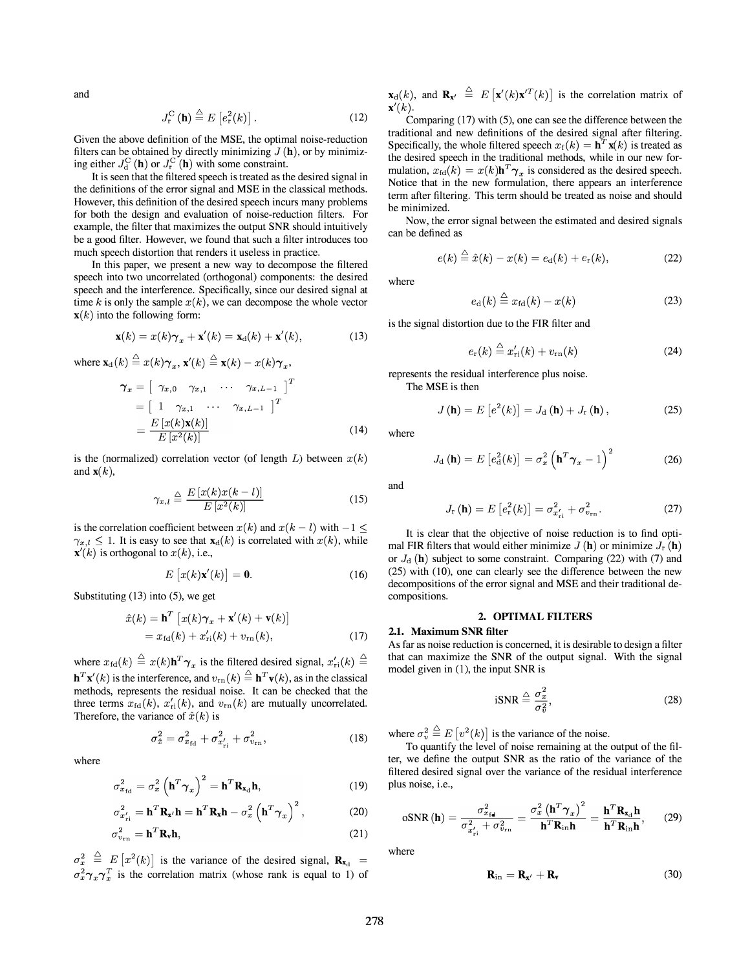and

$$
J_{\mathbf{r}}^{\mathbf{C}}\left(\mathbf{h}\right) \stackrel{\Delta}{=} E\left[e_{\mathbf{r}}^{2}(k)\right].\tag{12}
$$

Given the above definition of the MSE, the optimal noise-reduction filters can be obtained by directly minimizing  $J(\mathbf{h})$ , or by minimizing either  $J_{d}^{C}(\mathbf{h})$  or  $J_{r}^{C}(\mathbf{h})$  with some constraint.

It is seen that the filtered speech is treated as the desired signal in the definitions of the error signal and MSE in the classical methods. However, this definition of the desired speech incurs many problems for both the design and evaluation of noise-reduction filters. For example, the filter that maximizes the output SNR should intuitively be a good filter. However, we found that such a filter introduces too much speech distortion that renders it useless in practice.

In this paper, we present a new way to decompose the filtered speech into two uncorrelated (orthogonal) components: the desired speech and the interference. Specifically, since our desired signal at time k is only the sample  $x(k)$ , we can decompose the whole vector  $\mathbf{x}(k)$  into the following form:

$$
\mathbf{x}(k) = x(k)\boldsymbol{\gamma}_x + \mathbf{x}'(k) = \mathbf{x}_d(k) + \mathbf{x}'(k), \tag{13}
$$

where  $\mathbf{x}_{d}(k) \stackrel{\triangle}{=} x(k)\boldsymbol{\gamma}_{x}, \mathbf{x}'(k) \stackrel{\triangle}{=} \mathbf{x}(k) - x(k)\boldsymbol{\gamma}_{x},$ 

$$
\gamma_x = \begin{bmatrix} \gamma_{x,0} & \gamma_{x,1} & \cdots & \gamma_{x,L-1} \end{bmatrix}^T
$$

$$
= \begin{bmatrix} 1 & \gamma_{x,1} & \cdots & \gamma_{x,L-1} \end{bmatrix}^T
$$

$$
= \frac{E\left[x(k)\mathbf{x}(k)\right]}{E\left[x^2(k)\right]}
$$
(14)

is the (normalized) correlation vector (of length  $L$ ) between  $x(k)$ and  $\mathbf{x}(k)$ ,

$$
\gamma_{x,l} \triangleq \frac{E\left[x(k)x(k-l)\right]}{E\left[x^2(k)\right]}
$$
\n(15)

is the correlation coefficient between  $x(k)$  and  $x(k - l)$  with  $-1 \leq$  $\gamma_{x,l} \leq 1$ . It is easy to see that  $\mathbf{x}_d(k)$  is correlated with  $x(k)$ , while  $\mathbf{x}'(k)$  is orthogonal to  $x(k)$ , i.e.,

$$
E\left[x(k)\mathbf{x}'(k)\right] = \mathbf{0}.\tag{16}
$$

Substituting  $(13)$  into  $(5)$ , we get

$$
\hat{x}(k) = \mathbf{h}^{T} \left[ x(k)\gamma_{x} + \mathbf{x}'(k) + \mathbf{v}(k) \right]
$$

$$
= x_{\text{fd}}(k) + x'_{\text{ri}}(k) + v_{\text{rn}}(k), \qquad (17)
$$

where  $x_{\text{fd}}(k) \triangleq x(k)\mathbf{h}^T \boldsymbol{\gamma}_x$  is the filtered desired signal,  $x'_{\text{ri}}(k) \triangleq$  $\mathbf{h}^T\mathbf{x}'(k)$  is the interference, and  $v_{\text{rn}}(k) \triangleq \mathbf{h}^T\mathbf{v}(k)$ , as in the classical methods, represents the residual noise. It can be checked that the three terms  $x_{\text{fd}}(k)$ ,  $x'_{\text{ri}}(k)$ , and  $v_{\text{rn}}(k)$  are mutually uncorrelated. Therefore, the variance of  $\hat{x}(k)$  is

$$
\sigma_{\hat{x}}^2 = \sigma_{x_{\text{fd}}}^2 + \sigma_{x_{\text{ri}}}^2 + \sigma_{v_{\text{rn}}}^2, \tag{18}
$$

where

$$
\sigma_{x_{\text{fd}}}^2 = \sigma_x^2 \left( \mathbf{h}^T \boldsymbol{\gamma}_x \right)^2 = \mathbf{h}^T \mathbf{R}_{\mathbf{x}_\text{d}} \mathbf{h},\tag{19}
$$

$$
\sigma_{x'_{\rm ri}}^2 = \mathbf{h}^T \mathbf{R}_{\mathbf{x}'} \mathbf{h} = \mathbf{h}^T \mathbf{R}_{\mathbf{x}} \mathbf{h} - \sigma_x^2 \left( \mathbf{h}^T \boldsymbol{\gamma}_x \right)^2, \tag{20}
$$

$$
\sigma_{v_{\rm rn}}^2 = \mathbf{h}^T \mathbf{R}_v \mathbf{h},\tag{21}
$$

 $\sigma_x^2 \triangleq E[x^2(k)]$  is the variance of the desired signal,  $\mathbf{R}_{\mathbf{x}_d}$  =  $\sigma_x^2 \gamma_x \gamma_x^T$  is the correlation matrix (whose rank is equal to 1) of  $\mathbf{x}_{d}(k)$ , and  $\mathbf{R}_{\mathbf{x'}} \stackrel{\triangle}{=} E\left[\mathbf{x'}(k)\mathbf{x'}^{T}(k)\right]$  is the correlation matrix of  $\mathbf{x}'(k)$ .

Comparing (17) with (S), one can see the difference between the traditional and new definitions of the desired signal after filtering. Specifically, the whole filtered speech  $x_f(k) = h^T x(k)$  is treated as the desired speech in the traditional methods, while in our new formulation,  $x_{\text{fd}}(k) = x(k)\mathbf{h}^T \boldsymbol{\gamma}_r$  is considered as the desired speech. Notice that in the new formulation, there appears an interference term after filtering. This term should be treated as noise and should be minimized.

Now, the error signal between the estimated and desired signals can be defined as

$$
e(k) \stackrel{\triangle}{=} \hat{x}(k) - x(k) = e_{\rm d}(k) + e_{\rm r}(k), \tag{22}
$$

where

$$
e_{\rm d}(k) \stackrel{\triangle}{=} x_{\rm fd}(k) - x(k) \tag{23}
$$

is the signal distortion due to the FIR filter and

$$
e_{\rm r}(k) \stackrel{\triangle}{=} x'_{\rm ri}(k) + v_{\rm rn}(k) \tag{24}
$$

represents the residual interference plus noise.

The MSE is then

$$
J(\mathbf{h}) = E\left[e^2(k)\right] = J_d(\mathbf{h}) + J_r(\mathbf{h}), \qquad (25)
$$

where

$$
J_{\rm d}(\mathbf{h}) = E\left[e_{\rm d}^2(k)\right] = \sigma_x^2 \left(\mathbf{h}^T \boldsymbol{\gamma}_x - 1\right)^2 \tag{26}
$$

and

$$
J_{\rm r}(\mathbf{h}) = E\left[e_{\rm r}^{2}(k)\right] = \sigma_{x_{\rm ri}}^{2} + \sigma_{v_{\rm rn}}^{2}.
$$
 (27)

It is clear that the objective of noise reduction is to find optimal FIR filters that would either minimize  $J(\mathbf{h})$  or minimize  $J_{\mathbf{r}}(\mathbf{h})$ or  $J_d$  (h) subject to some constraint. Comparing (22) with (7) and (2S) with (10), one can clearly see the difference between the new decompositions of the error signal and MSE and their traditional decompositions.

### 2. OPTIMAL FILTERS

### 2.1. Maximum SNR filter

As far as noise reduction is concerned, it is desirable to design a filter that can maximize the SNR of the output signal. With the signal model given in (1), the input SNR is

$$
iSNR \stackrel{\triangle}{=} \frac{\sigma_x^2}{\sigma_v^2},\tag{28}
$$

where  $\sigma_v^2 \triangleq E[v^2(k)]$  is the variance of the noise.

To quantify the level of noise remaining at the output of the filter, we define the output SNR as the ratio of the variance of the filtered desired signal over the variance of the residual interference plus noise, i.e.,

$$
\text{oSNR}(\mathbf{h}) = \frac{\sigma_{x_{\text{fa}}^2}^2}{\sigma_{x_{\text{ri}}'}^2 + \sigma_{v_{\text{rn}}}^2} = \frac{\sigma_x^2 (\mathbf{h}^T \boldsymbol{\gamma}_x)^2}{\mathbf{h}^T \mathbf{R}_{\text{in}} \mathbf{h}} = \frac{\mathbf{h}^T \mathbf{R}_{x_{\text{d}}} \mathbf{h}}{\mathbf{h}^T \mathbf{R}_{\text{in}} \mathbf{h}},\qquad(29)
$$

where

$$
\mathbf{R}_{\text{in}} = \mathbf{R}_{\mathbf{x}'} + \mathbf{R}_{\mathbf{v}} \tag{30}
$$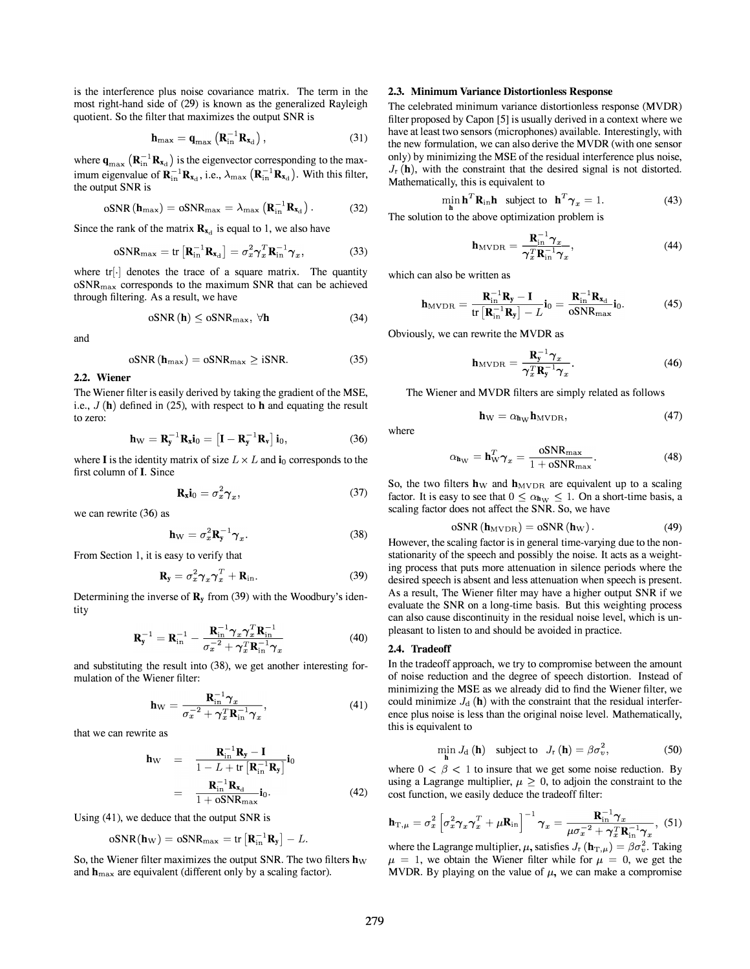is the interference plus noise covariance matrix. The term in the most right-hand side of (29) is known as the generalized Rayleigh quotient. So the filter that maximizes the output SNR is

$$
\mathbf{h}_{\max} = \mathbf{q}_{\max} \left( \mathbf{R}_{\text{in}}^{-1} \mathbf{R}_{\mathbf{x}_d} \right), \tag{31}
$$

where  $\mathbf{q}_{\max}$   $(\mathbf{R}_{\text{in}}^{-1} \mathbf{R}_{\mathbf{x}_d})$  is the eigenvector corresponding to the maximum eigenvalue of  $\mathbf{R}_{in}^{-1} \mathbf{R}_{\mathbf{x}_d}$ , i.e.,  $\lambda_{\text{max}} \left( \mathbf{R}_{in}^{-1} \mathbf{R}_{\mathbf{x}_d} \right)$ . With this filter, the output SNR is

$$
\mathrm{oSNR}\left(\mathbf{h}_{\mathrm{max}}\right) = \mathrm{oSNR}_{\mathrm{max}} = \lambda_{\mathrm{max}}\left(\mathbf{R}_{\mathrm{in}}^{-1}\mathbf{R}_{\mathbf{x}_{\mathrm{d}}}\right). \tag{32}
$$

Since the rank of the matrix  $\mathbf{R}_{\mathbf{x}_d}$  is equal to 1, we also have

$$
\mathrm{oSNR}_{\mathrm{max}} = \mathrm{tr}\left[\mathbf{R}_{\mathrm{in}}^{-1}\mathbf{R}_{\mathbf{x}_{\mathrm{d}}}\right] = \sigma_x^2 \boldsymbol{\gamma}_x^T \mathbf{R}_{\mathrm{in}}^{-1} \boldsymbol{\gamma}_x,\tag{33}
$$

where tr<sup>[.]</sup> denotes the trace of a square matrix. The quantity  $oSNR_{\text{max}}$  corresponds to the maximum SNR that can be achieved through filtering. As a result, we have

$$
oSNR\left(\mathbf{h}\right) \leq oSNR_{\max}, \ \forall \mathbf{h} \tag{34}
$$

and

$$
oSNR (h_{\text{max}}) = oSNR_{\text{max}} \ge iSNR. \tag{35}
$$

### 2.2. Wiener

The Wiener filter is easily derived by taking the gradient of the MSE, i.e.,  $J(h)$  defined in (25), with respect to h and equating the result to zero:

$$
\mathbf{h}_{\mathrm{W}} = \mathbf{R}_{\mathrm{y}}^{-1} \mathbf{R}_{\mathrm{x}} \mathbf{i}_{0} = \left[ \mathbf{I} - \mathbf{R}_{\mathrm{y}}^{-1} \mathbf{R}_{\mathrm{v}} \right] \mathbf{i}_{0}, \tag{36}
$$

where I is the identity matrix of size  $L \times L$  and  $\mathbf{i}_0$  corresponds to the first column of I. Since

$$
\mathbf{R}_{\mathbf{x}} \mathbf{i}_0 = \sigma_x^2 \boldsymbol{\gamma}_x,\tag{37}
$$

we can rewrite (36) as

$$
\mathbf{h}_{\mathrm{W}} = \sigma_x^2 \mathbf{R}_{\mathrm{y}}^{-1} \boldsymbol{\gamma}_x. \tag{38}
$$

From Section 1, it is easy to verify that

$$
\mathbf{R}_{\mathbf{y}} = \sigma_x^2 \boldsymbol{\gamma}_x \boldsymbol{\gamma}_x^T + \mathbf{R}_{\text{in}}.
$$
 (39)

Determining the inverse of  $\mathbf{R}_{v}$  from (39) with the Woodbury's identity

$$
\mathbf{R}_{\mathbf{y}}^{-1} = \mathbf{R}_{\text{in}}^{-1} - \frac{\mathbf{R}_{\text{in}}^{-1} \boldsymbol{\gamma}_x \boldsymbol{\gamma}_x^T \mathbf{R}_{\text{in}}^{-1}}{\sigma_x^{-2} + \boldsymbol{\gamma}_x^T \mathbf{R}_{\text{in}}^{-1} \boldsymbol{\gamma}_x}
$$
(40)

and substituting the result into (38), we get another interesting formulation of the Wiener filter:

$$
\mathbf{h}_{\mathrm{W}} = \frac{\mathbf{R}_{\mathrm{in}}^{-1} \boldsymbol{\gamma}_{x}}{\sigma_{x}^{-2} + \boldsymbol{\gamma}_{x}^{T} \mathbf{R}_{\mathrm{in}}^{-1} \boldsymbol{\gamma}_{x}},\tag{41}
$$

that we can rewrite as

$$
\mathbf{h}_{\rm W} = \frac{\mathbf{R}_{\rm in}^{-1} \mathbf{R}_{\rm y} - \mathbf{I}}{1 - L + \text{tr} \left[ \mathbf{R}_{\rm in}^{-1} \mathbf{R}_{\rm y} \right]} \mathbf{i}_{0}
$$

$$
= \frac{\mathbf{R}_{\rm in}^{-1} \mathbf{R}_{\rm x_{\rm d}}}{1 + \text{oSNR}_{\rm max}} \mathbf{i}_{0}. \tag{42}
$$

Using (41), we deduce that the output SNR is

$$
\mathrm{oSNR}(\mathbf{h}_{\mathrm{W}}) = \mathrm{oSNR}_{\mathrm{max}} = \mathrm{tr}\left[\mathbf{R}_{\mathrm{in}}^{-1}\mathbf{R}_{\mathrm{y}}\right] - L.
$$

So, the Wiener filter maximizes the output SNR. The two filters  $h_W$ and  $h_{\text{max}}$  are equivalent (different only by a scaling factor).

### 2.3. Minimum Variance Distortionless Response

The celebrated minimum variance distortionless response (MVDR) filter proposed by Capon [S] is usually derived in a context where we have at least two sensors (microphones) available. Interestingly, with the new formulation, we can also derive the MVDR (with one sensor only) by minimizing the MSE of the residual interference plus noise,  $J_r(\mathbf{h})$ , with the constraint that the desired signal is not distorted. Mathematically, this is equivalent to

$$
\min_{\mathbf{h}} \mathbf{h}^T \mathbf{R}_{\text{in}} \mathbf{h} \quad \text{subject to} \quad \mathbf{h}^T \boldsymbol{\gamma}_x = 1. \tag{43}
$$

The solution to the above optimization problem is

$$
\mathbf{h}_{\text{MVDR}} = \frac{\mathbf{R}_{\text{in}}^{-1} \boldsymbol{\gamma}_x}{\boldsymbol{\gamma}_x^T \mathbf{R}_{\text{in}}^{-1} \boldsymbol{\gamma}_x},\tag{44}
$$

which can also be written as

$$
\mathbf{h}_{\text{MVDR}} = \frac{\mathbf{R}_{\text{in}}^{-1} \mathbf{R}_{\text{y}} - \mathbf{I}}{\text{tr}\left[\mathbf{R}_{\text{in}}^{-1} \mathbf{R}_{\text{y}}\right] - L} \mathbf{i}_0 = \frac{\mathbf{R}_{\text{in}}^{-1} \mathbf{R}_{\text{x}_\text{d}}}{\text{oSNR}_{\text{max}}} \mathbf{i}_0. \tag{45}
$$

Obviously, we can rewrite the MVDR as

$$
\mathbf{h}_{\text{MVDR}} = \frac{\mathbf{R}_y^{-1} \boldsymbol{\gamma}_x}{\boldsymbol{\gamma}_x^T \mathbf{R}_y^{-1} \boldsymbol{\gamma}_x}.
$$
 (46)

The Wiener and MVDR filters are simply related as follows

$$
\mathbf{h}_{\mathrm{W}} = \alpha_{\mathbf{h}_{\mathrm{W}}} \mathbf{h}_{\mathrm{MVDR}},\tag{47}
$$

$$
\quad \text{where} \quad
$$

$$
\alpha_{\mathbf{h}_{\mathrm{W}}} = \mathbf{h}_{\mathrm{W}}^T \boldsymbol{\gamma}_x = \frac{\mathrm{oSNR}_{\mathrm{max}}}{1 + \mathrm{oSNR}_{\mathrm{max}}}.\tag{48}
$$

So, the two filters  $h_W$  and  $h_{MVDR}$  are equivalent up to a scaling factor. It is easy to see that  $0 \le \alpha_{h_{\rm W}} \le 1$ . On a short-time basis, a scaling factor does not affect the SNR. So, we have

$$
oSNR (h_{\text{MVDR}}) = oSNR (h_{\text{W}}).
$$
 (49)

However, the scaling factor is in general time-varying due to the nonstationarity of the speech and possibly the noise. It acts as a weighting process that puts more attenuation in silence periods where the desired speech is absent and less attenuation when speech is present. As a result, The Wiener filter may have a higher output SNR if we evaluate the SNR on a long-time basis. But this weighting process can also cause discontinuity in the residual noise level, which is unpleasant to listen to and should be avoided in practice.

### 2.4. Tradeoff

In the tradeoff approach, we try to compromise between the amount of noise reduction and the degree of speech distortion. Instead of minimizing the MSE as we already did to find the Wiener filter, we could minimize  $J_d$  (h) with the constraint that the residual interference plus noise is less than the original noise level. Mathematically, this is equivalent to

$$
\min_{\mathbf{h}} J_{\mathrm{d}}\left(\mathbf{h}\right) \quad \text{subject to} \quad J_{\mathrm{r}}\left(\mathbf{h}\right) = \beta \sigma_{v}^{2},\tag{50}
$$

where  $0 < \beta < 1$  to insure that we get some noise reduction. By using a Lagrange multiplier,  $\mu \geq 0$ , to adjoin the constraint to the cost function, we easily deduce the tradeoff filter:

$$
\mathbf{h}_{\mathrm{T},\mu} = \sigma_x^2 \left[ \sigma_x^2 \boldsymbol{\gamma}_x \boldsymbol{\gamma}_x^T + \mu \mathbf{R}_{\mathrm{in}} \right]^{-1} \boldsymbol{\gamma}_x = \frac{\mathbf{R}_{\mathrm{in}}^{-1} \boldsymbol{\gamma}_x}{\mu \sigma_x^{-2} + \boldsymbol{\gamma}_x^T \mathbf{R}_{\mathrm{in}}^{-1} \boldsymbol{\gamma}_x}, \tag{51}
$$

where the Lagrange multiplier,  $\mu$ , satisfies  $J_r(\mathbf{h}_{\mathrm{T},\mu}) = \beta \sigma_v^2$ . Taking  $\mu = 1$ , we obtain the Wiener filter while for  $\mu = 0$ , we get the MVDR. By playing on the value of  $\mu$ , we can make a compromise